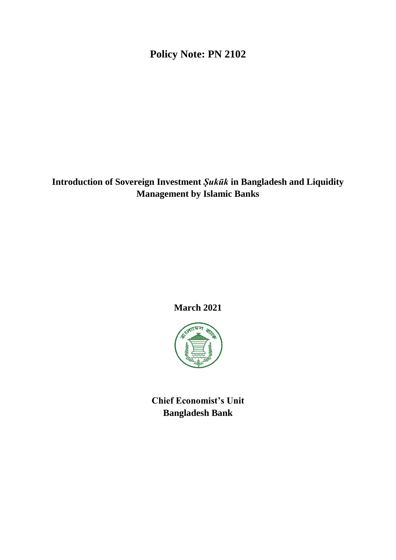# **Policy Note: PN 2102**

**Introduction of Sovereign Investment** *Ṣukūk* **in Bangladesh and Liquidity Management by Islamic Banks**

**March 2021**



**Chief Economist's Unit Bangladesh Bank**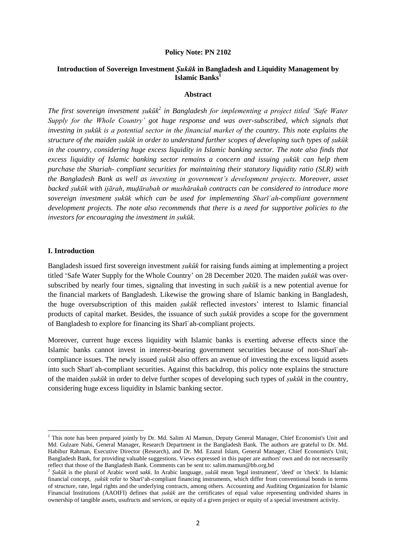#### **Policy Note: PN 2102**

# **Introduction of Sovereign Investment** *Ṣukūk* **in Bangladesh and Liquidity Management by Islamic Banks<sup>1</sup>**

#### **Abstract**

*The first sovereign investment ṣukūk<sup>2</sup> in Bangladesh for implementing a project titled 'Safe Water Supply for the Whole Country' got huge response and was over-subscribed, which signals that investing in ṣukūk is a potential sector in the financial market of the country. This note explains the structure of the maiden ṣukūk in order to understand further scopes of developing such types of ṣukūk in the country, considering huge excess liquidity in Islamic banking sector. The note also finds that excess liquidity of Islamic banking sector remains a concern and issuing ṣukūk can help them purchase the Shariah- compliant securities for maintaining their statutory liquidity ratio (SLR) with the Bangladesh Bank as well as investing in government's development projects. Moreover, asset backed ṣukūk with ijārah, muḍārabah or mushārakah contracts can be considered to introduce more sovereign investment ṣukūk which can be used for implementing Sharīʿah-compliant government development projects. The note also recommends that there is a need for supportive policies to the investors for encouraging the investment in ṣukūk.*

### **I. Introduction**

**.** 

Bangladesh issued first sovereign investment *ṣukūk* for raising funds aiming at implementing a project titled 'Safe Water Supply for the Whole Country' on 28 December 2020. The maiden *ṣukūk* was oversubscribed by nearly four times, signaling that investing in such *ṣukūk* is a new potential avenue for the financial markets of Bangladesh. Likewise the growing share of Islamic banking in Bangladesh, the huge oversubscription of this maiden *ṣukūk* reflected investors' interest to Islamic financial products of capital market. Besides, the issuance of such *ṣukūk* provides a scope for the government of Bangladesh to explore for financing its Sharīʿah-compliant projects.

Moreover, current huge excess liquidity with Islamic banks is exerting adverse effects since the Islamic banks cannot invest in interest-bearing government securities because of non-Sharīʿahcompliance issues. The newly issued *ṣukūk* also offers an avenue of investing the excess liquid assets into such Sharīʿah-compliant securities. Against this backdrop, this policy note explains the structure of the maiden *ṣukūk* in order to delve further scopes of developing such types of *ṣukūk* in the country, considering huge excess liquidity in Islamic banking sector.

<sup>&</sup>lt;sup>1</sup> This note has been prepared jointly by Dr. Md. Salim Al Mamun, Deputy General Manager, Chief Economist's Unit and Md. Gulzare Nabi, General Manager, Research Department in the Bangladesh Bank. The authors are grateful to Dr. Md. Habibur Rahman, Executive Director (Research), and Dr. Md. Ezazul Islam, General Manager, Chief Economist's Unit, Bangladesh Bank, for providing valuable suggestions. Views expressed in this paper are authors' own and do not necessarily reflect that those of the Bangladesh Bank. Comments can be sent to: salim.mamun@bb.org.bd

<sup>2</sup> *Ṣukūk* is the plural of Arabic word *sakk*. In Arabic language, *ṣukūk* mean 'legal instrument', 'deed' or 'check'. In Islamic financial concept, *ṣukūk* refer to Sharī'ah-compliant financing instruments, which differ from conventional bonds in terms of structure, rate, legal rights and the underlying contracts, among others. Accounting and Auditing Organization for Islamic Financial Institutions (AAOIFI) defines that *ṣukūk* are the certificates of equal value representing undivided shares in ownership of tangible assets, usufructs and services, or equity of a given project or equity of a special investment activity.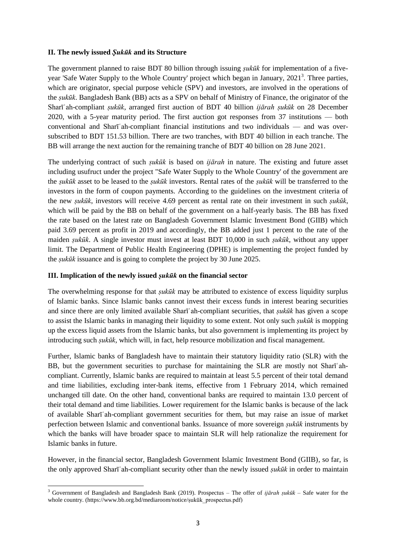### **II. The newly issued** *Ṣukūk* **and its Structure**

The government planned to raise BDT 80 billion through issuing *ṣukūk* for implementation of a fiveyear 'Safe Water Supply to the Whole Country' project which began in January, 2021<sup>3</sup>. Three parties, which are originator, special purpose vehicle (SPV) and investors, are involved in the operations of the *ṣukūk*. Bangladesh Bank (BB) acts as a SPV on behalf of Ministry of Finance, the originator of the Sharīʿah-compliant *ṣukūk*, arranged first auction of BDT 40 billion *ijārah ṣukūk* on 28 December 2020, with a 5-year maturity period. The first auction got responses from 37 institutions — both conventional and Sharīʿah-compliant financial institutions and two individuals — and was oversubscribed to BDT 151.53 billion. There are two tranches, with BDT 40 billion in each tranche. The BB will arrange the next auction for the remaining tranche of BDT 40 billion on 28 June 2021.

The underlying contract of such *ṣukūk* is based on *ijārah* in nature. The existing and future asset including usufruct under the project "Safe Water Supply to the Whole Country' of the government are the *ṣukūk* asset to be leased to the *ṣukūk* investors. Rental rates of the *ṣukūk* will be transferred to the investors in the form of coupon payments. According to the guidelines on the investment criteria of the new *ṣukūk*, investors will receive 4.69 percent as rental rate on their investment in such *ṣukūk*, which will be paid by the BB on behalf of the government on a half-yearly basis. The BB has fixed the rate based on the latest rate on Bangladesh Government Islamic Investment Bond (GIIB) which paid 3.69 percent as profit in 2019 and accordingly, the BB added just 1 percent to the rate of the maiden *ṣukūk*. A single investor must invest at least BDT 10,000 in such *ṣukūk*, without any upper limit. The Department of Public Health Engineering (DPHE) is implementing the project funded by the *ṣukūk* issuance and is going to complete the project by 30 June 2025.

## **III. Implication of the newly issued** *ṣukūk* **on the financial sector**

 $\overline{\phantom{a}}$ 

The overwhelming response for that *ṣukūk* may be attributed to existence of excess liquidity surplus of Islamic banks. Since Islamic banks cannot invest their excess funds in interest bearing securities and since there are only limited available Sharīʿah-compliant securities, that *ṣukūk* has given a scope to assist the Islamic banks in managing their liquidity to some extent. Not only such *ṣukūk* is mopping up the excess liquid assets from the Islamic banks, but also government is implementing its project by introducing such *ṣukūk,* which will, in fact, help resource mobilization and fiscal management.

Further, Islamic banks of Bangladesh have to maintain their statutory liquidity ratio (SLR) with the BB, but the government securities to purchase for maintaining the SLR are mostly not Sharīʿahcompliant. Currently, Islamic banks are required to maintain at least 5.5 percent of their total demand and time liabilities, excluding inter-bank items, effective from 1 February 2014, which remained unchanged till date. On the other hand, conventional banks are required to maintain 13.0 percent of their total demand and time liabilities. Lower requirement for the Islamic banks is because of the lack of available Sharīʿah-compliant government securities for them, but may raise an issue of market perfection between Islamic and conventional banks. Issuance of more sovereign *ṣukūk* instruments by which the banks will have broader space to maintain SLR will help rationalize the requirement for Islamic banks in future.

However, in the financial sector, Bangladesh Government Islamic Investment Bond (GIIB), so far, is the only approved Sharīʿah-compliant security other than the newly issued *ṣukūk* in order to maintain

<sup>3</sup> Government of Bangladesh and Bangladesh Bank (2019). Prospectus – The offer of *ijārah ṣukūk –* Safe water for the whole country. (https://www.bb.org.bd/mediaroom/notice/ṣukūk\_prospectus.pdf)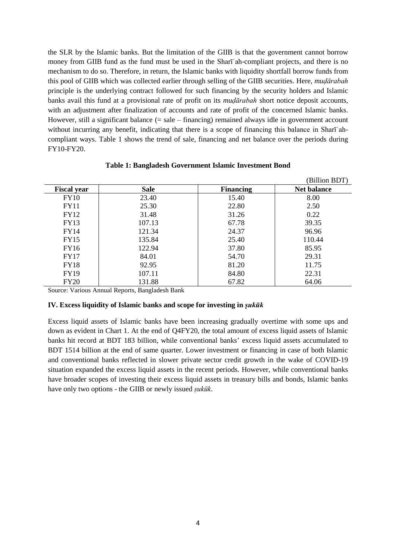the SLR by the Islamic banks. But the limitation of the GIIB is that the government cannot borrow money from GIIB fund as the fund must be used in the Sharīʿah-compliant projects, and there is no mechanism to do so. Therefore, in return, the Islamic banks with liquidity shortfall borrow funds from this pool of GIIB which was collected earlier through selling of the GIIB securities. Here, *muḍārabah* principle is the underlying contract followed for such financing by the security holders and Islamic banks avail this fund at a provisional rate of profit on its *muḍārabah* short notice deposit accounts, with an adjustment after finalization of accounts and rate of profit of the concerned Islamic banks. However, still a significant balance  $(= sale - financing)$  remained always idle in government account without incurring any benefit, indicating that there is a scope of financing this balance in Sharī'ahcompliant ways. Table 1 shows the trend of sale, financing and net balance over the periods during FY10-FY20.

|                    |             |                  | (Billion BDT)      |
|--------------------|-------------|------------------|--------------------|
| <b>Fiscal year</b> | <b>Sale</b> | <b>Financing</b> | <b>Net balance</b> |
| <b>FY10</b>        | 23.40       | 15.40            | 8.00               |
| <b>FY11</b>        | 25.30       | 22.80            | 2.50               |
| <b>FY12</b>        | 31.48       | 31.26            | 0.22               |
| FY13               | 107.13      | 67.78            | 39.35              |
| FY14               | 121.34      | 24.37            | 96.96              |
| <b>FY15</b>        | 135.84      | 25.40            | 110.44             |
| FY16               | 122.94      | 37.80            | 85.95              |
| <b>FY17</b>        | 84.01       | 54.70            | 29.31              |
| FY18               | 92.95       | 81.20            | 11.75              |
| <b>FY19</b>        | 107.11      | 84.80            | 22.31              |
| <b>FY20</b>        | 131.88      | 67.82            | 64.06              |

#### **Table 1: Bangladesh Government Islamic Investment Bond**

Source: Various Annual Reports, Bangladesh Bank

### **IV. Excess liquidity of Islamic banks and scope for investing in** *ṣukūk*

Excess liquid assets of Islamic banks have been increasing gradually overtime with some ups and down as evident in Chart 1. At the end of Q4FY20, the total amount of excess liquid assets of Islamic banks hit record at BDT 183 billion, while conventional banks' excess liquid assets accumulated to BDT 1514 billion at the end of same quarter. Lower investment or financing in case of both Islamic and conventional banks reflected in slower private sector credit growth in the wake of COVID-19 situation expanded the excess liquid assets in the recent periods. However, while conventional banks have broader scopes of investing their excess liquid assets in treasury bills and bonds, Islamic banks have only two options - the GIIB or newly issued *ṣukūk*.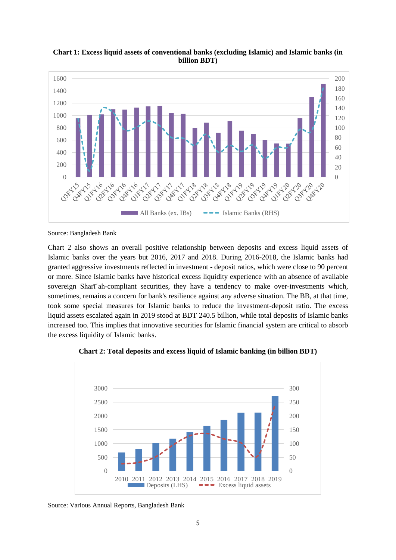

**Chart 1: Excess liquid assets of conventional banks (excluding Islamic) and Islamic banks (in billion BDT)**

Source: Bangladesh Bank

Chart 2 also shows an overall positive relationship between deposits and excess liquid assets of Islamic banks over the years but 2016, 2017 and 2018. During 2016-2018, the Islamic banks had granted aggressive investments reflected in investment - deposit ratios, which were close to 90 percent or more. Since Islamic banks have historical excess liquidity experience with an absence of available sovereign Sharī'ah-compliant securities, they have a tendency to make over-investments which, sometimes, remains a concern for bank's resilience against any adverse situation. The BB, at that time, took some special measures for Islamic banks to reduce the investment-deposit ratio. The excess liquid assets escalated again in 2019 stood at BDT 240.5 billion, while total deposits of Islamic banks increased too. This implies that innovative securities for Islamic financial system are critical to absorb the excess liquidity of Islamic banks.



**Chart 2: Total deposits and excess liquid of Islamic banking (in billion BDT)**

Source: Various Annual Reports, Bangladesh Bank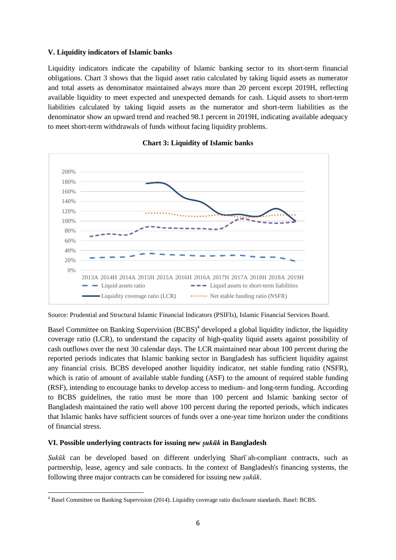# **V. Liquidity indicators of Islamic banks**

Liquidity indicators indicate the capability of Islamic banking sector to its short-term financial obligations. Chart 3 shows that the liquid asset ratio calculated by taking liquid assets as numerator and total assets as denominator maintained always more than 20 percent except 2019H, reflecting available liquidity to meet expected and unexpected demands for cash. Liquid assets to short-term liabilities calculated by taking liquid assets as the numerator and short-term liabilities as the denominator show an upward trend and reached 98.1 percent in 2019H, indicating available adequacy to meet short-term withdrawals of funds without facing liquidity problems.





Source: Prudential and Structural Islamic Financial Indicators (PSIFIs), Islamic Financial Services Board.

Basel Committee on Banking Supervision (BCBS)<sup>4</sup> developed a global liquidity indictor, the liquidity coverage ratio (LCR), to understand the capacity of high-quality liquid assets against possibility of cash outflows over the next 30 calendar days. The LCR maintained near about 100 percent during the reported periods indicates that Islamic banking sector in Bangladesh has sufficient liquidity against any financial crisis. BCBS developed another liquidity indicator, net stable funding ratio (NSFR), which is ratio of amount of available stable funding (ASF) to the amount of required stable funding (RSF), intending to encourage banks to develop access to medium- and long-term funding. According to BCBS guidelines, the ratio must be more than 100 percent and Islamic banking sector of Bangladesh maintained the ratio well above 100 percent during the reported periods, which indicates that Islamic banks have sufficient sources of funds over a one-year time horizon under the conditions of financial stress.

## **VI. Possible underlying contracts for issuing new** *ṣukūk* **in Bangladesh**

*Ṣukūk* can be developed based on different underlying Sharīʿah-compliant contracts, such as partnership, lease, agency and sale contracts. In the context of Bangladesh's financing systems, the following three major contracts can be considered for issuing new *ṣukūk*.

**<sup>.</sup>** <sup>4</sup> Basel Committee on Banking Supervision (2014). Liquidity coverage ratio disclosure standards. Basel: BCBS.